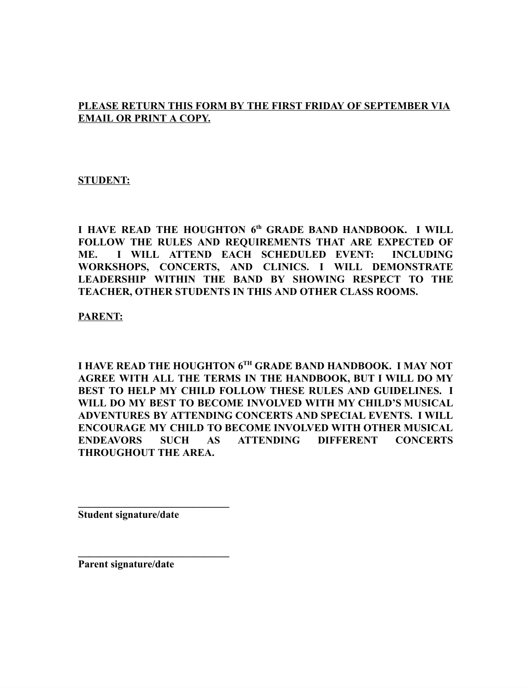#### **PLEASE RETURN THIS FORM BY THE FIRST FRIDAY OF SEPTEMBER VIA EMAIL OR PRINT A COPY.**

#### **STUDENT:**

**I HAVE READ THE HOUGHTON 6 th GRADE BAND HANDBOOK. I WILL FOLLOW THE RULES AND REQUIREMENTS THAT ARE EXPECTED OF ME. I WILL ATTEND EACH SCHEDULED EVENT: INCLUDING WORKSHOPS, CONCERTS, AND CLINICS. I WILL DEMONSTRATE LEADERSHIP WITHIN THE BAND BY SHOWING RESPECT TO THE TEACHER, OTHER STUDENTS IN THIS AND OTHER CLASS ROOMS.**

**PARENT:**

**I HAVE READ THE HOUGHTON 6 TH GRADE BAND HANDBOOK. I MAY NOT AGREE WITH ALL THE TERMS IN THE HANDBOOK, BUT I WILL DO MY BEST TO HELP MY CHILD FOLLOW THESE RULES AND GUIDELINES. I WILL DO MY BEST TO BECOME INVOLVED WITH MY CHILD'S MUSICAL ADVENTURES BY ATTENDING CONCERTS AND SPECIAL EVENTS. I WILL ENCOURAGE MY CHILD TO BECOME INVOLVED WITH OTHER MUSICAL ENDEAVORS SUCH AS ATTENDING DIFFERENT CONCERTS THROUGHOUT THE AREA.**

**Student signature/date**

**\_\_\_\_\_\_\_\_\_\_\_\_\_\_\_\_\_\_\_\_\_\_\_\_\_\_\_\_\_**

**\_\_\_\_\_\_\_\_\_\_\_\_\_\_\_\_\_\_\_\_\_\_\_\_\_\_\_\_\_**

**Parent signature/date**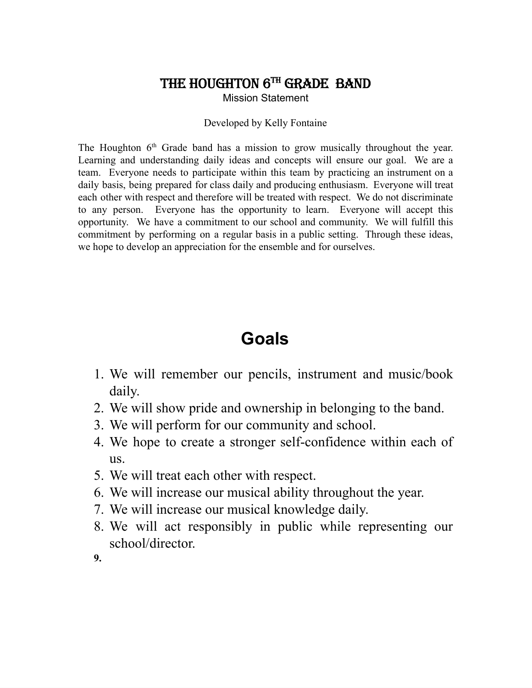### THE HOUGHTON  $6^{TH}$  GRADE BAND

Mission Statement

#### Developed by Kelly Fontaine

The Houghton  $6<sup>th</sup>$  Grade band has a mission to grow musically throughout the year. Learning and understanding daily ideas and concepts will ensure our goal. We are a team. Everyone needs to participate within this team by practicing an instrument on a daily basis, being prepared for class daily and producing enthusiasm. Everyone will treat each other with respect and therefore will be treated with respect. We do not discriminate to any person. Everyone has the opportunity to learn. Everyone will accept this opportunity. We have a commitment to our school and community. We will fulfill this commitment by performing on a regular basis in a public setting. Through these ideas, we hope to develop an appreciation for the ensemble and for ourselves.

# **Goals**

- 1. We will remember our pencils, instrument and music/book daily.
- 2. We will show pride and ownership in belonging to the band.
- 3. We will perform for our community and school.
- 4. We hope to create a stronger self-confidence within each of us.
- 5. We will treat each other with respect.
- 6. We will increase our musical ability throughout the year.
- 7. We will increase our musical knowledge daily.
- 8. We will act responsibly in public while representing our school/director.
- **9.**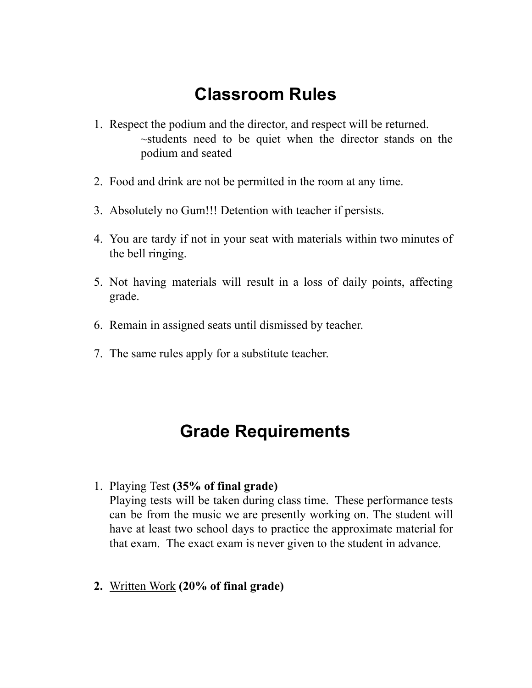# **Classroom Rules**

- 1. Respect the podium and the director, and respect will be returned. ~students need to be quiet when the director stands on the podium and seated
- 2. Food and drink are not be permitted in the room at any time.
- 3. Absolutely no Gum!!! Detention with teacher if persists.
- 4. You are tardy if not in your seat with materials within two minutes of the bell ringing.
- 5. Not having materials will result in a loss of daily points, affecting grade.
- 6. Remain in assigned seats until dismissed by teacher.
- 7. The same rules apply for a substitute teacher.

## **Grade Requirements**

1. Playing Test **(35% of final grade)**

Playing tests will be taken during class time. These performance tests can be from the music we are presently working on. The student will have at least two school days to practice the approximate material for that exam. The exact exam is never given to the student in advance.

**2.** Written Work **(20% of final grade)**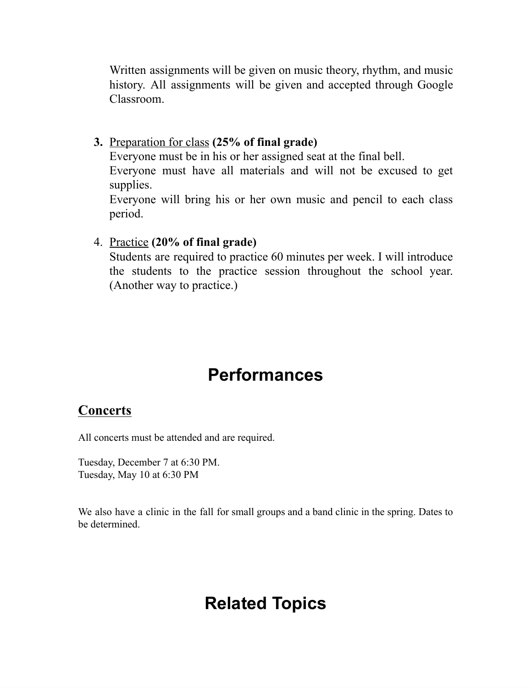Written assignments will be given on music theory, rhythm, and music history. All assignments will be given and accepted through Google Classroom.

**3.** Preparation for class **(25% of final grade)**

Everyone must be in his or her assigned seat at the final bell.

Everyone must have all materials and will not be excused to get supplies.

Everyone will bring his or her own music and pencil to each class period.

4. Practice **(20% of final grade)**

Students are required to practice 60 minutes per week. I will introduce the students to the practice session throughout the school year. (Another way to practice.)

## **Performances**

### **Concerts**

All concerts must be attended and are required.

Tuesday, December 7 at 6:30 PM. Tuesday, May 10 at 6:30 PM

We also have a clinic in the fall for small groups and a band clinic in the spring. Dates to be determined.

## **Related Topics**